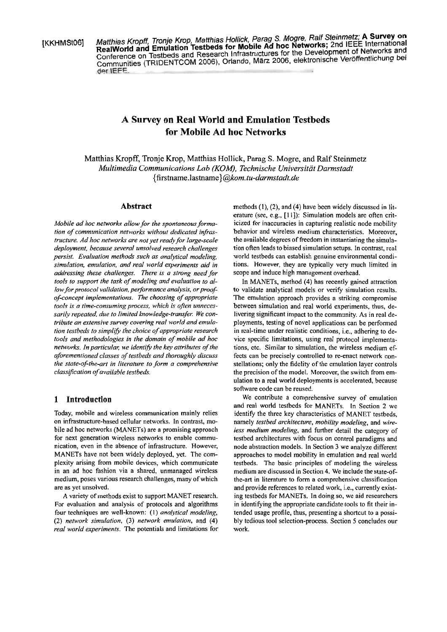[KKHMStOS] Maffhias **Kropfl** Tronje **Krop,** Maffhias Hollick, Parag S. Mogre, Ralf Steinmetz; **A Survey on**  RealWorld and Emulation Testbeds for Mobile Ad into the Development of Networks and Conference on Testbeds and Research Infrastructures for the Development of Networks and Del Communities (TRIDENTCOM 2006). Orlando, Marz 2006, elektronische Veröffentlichung bei

# **A Survey on Real World and Emulation Testbeds for Mobile Ad hoc Networks**

Matthias Kropff, Tronje Krop, Matthias Hollick, Parag S. Mogre, and Ralf Steinmetz *Multimedia Communications Lab (KOM), Technische Universität Darmstadt*  **{firstname.lastname)@kom.** *tu-darrnstadt.de* 

## **Abstract**

*Mobile ad hoc networks allow for the spontaneous forma*tion of communication networks without dedicated infras*tructure. Ad hoc networks are not yet ready for large-scale deploymen~, because several unsolved research challenges persist. Evaluation methods such as analytical modeling, simulation, emulation, und real world experiments aid in addressing these challenges. There is a stmng need for*  tools to support the task of modeling and evaluation to al*low for protocol validation, performance analysis, or proof* $of$ -concept implementations. The choosing of appropriate *tools is a time-consuming process, which is often unnecessarilv repeated. due to limited knowledge-transfer. We con*tribute an extensive survey covering real world and emula*tion testbeds to simplify the choice of appropriate research tools und methodologies in fhe domain of mobile ad hoc networks. In particular, we identify the key attributes of the aforementioned classes of testbeds und thorough[y discuss*  the state-of-the-art in literature to form a comprehensive *class~fication of available testbeds.* 

## **1 Introduction**

Today, mobile and wireless communication mainly relies on infrastructure-based cellular networks. In contrast, mobile ad hoc networks (MANETs) are a promising approach for next generation wireless networks to enable communication, even in the absence of infrastructure. However, MANETs have not been widely deployed, yet. The complexity arising from mobile devices, which communicate in an ad hoc fashion via a shared, unmanaged wireless medium, poses various research challenges, many of which are as yet unsolved.

A variety of methods exist to support MANET research. For evaluation and analysis of protocols and algorithms four techniques are well-known: (I) *analytical modeling,*  (2) *network simulation, (3) network emulation,* and (4) *real world experiments.* The potentials and limitations for methods (I), **(2),** and (4) have been widely discussed in literature (see, e.g., [I I]): Simulation models are often criticized for inaccuracies in capturing realistic node mobility behavior and wireless medium characteristics. Moreover, the available degrees of freedom in instantiating the simulation often leads to biased simulation setups. In contrast, real world testbeds can establish genuine environmental conditions. However, they are typically very much limited in scope and induce high management overhead.

In MANETs, method (4) has recently gained attraction to validate analytical models or verify simulation results. The emulation approach provides a striking compromise between simulation and real world experiments, thus, delivering significant impact to the community. As in real deployments, testing of novel applications can be performed in real-time under realistic conditions, i.e., adhering to device specific limitations, using real protocol implementations, ctc. Similar to simulation, the wireless medium effects can be precisely controlled to re-enact network constellations; only the fidelity of the emulation layer controls the precision of the model. Morcover, the switch from emulation to a real world deployments is accelerated, because software code can be reused.

We contribute a comprehensive survey of emulation and real world testbeds for MANETs. In Section **2** we identify the three key characteristics of MANET testbeds, namely *testbed architecture, mohility modeling,* and *wire-Iess medium modeling,* and further detail the category of testbed architectures with focus on control paradigms and node abstraction models. In Section **3** we analyze different approaches to model mobility in emulation and real world testbeds. The basic principles of modeling the wireless medium are discussed in Section 4. We include the state-ofthe-art in literature to form a comprehensive classification and provide references to related work, i.e., currently existing testbeds for MANETs. In doing so, we aid researchers in identifying the appropriate candidate tools to fit their intended usage profile, thus, presenting a shortcut to a possibly tedious tool selection-process. Section 5 concludes our work.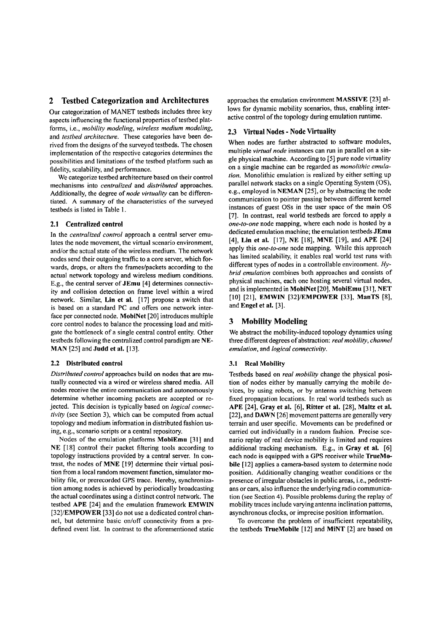# **2 Testbed Categorization and Architectures**

Our categorization of MANET testbeds includes three key aspects influencing the functional properties of testbed platforms, i.e., *mobiliw modeling, wireless medium modeling,*  and *testbed architecture.* These categories have been derived from the designs of the surveyed testbeds. The chosen implementation of the respective categories determines the possibilities and limitations of the testbed platform such **as**  fidelity, scalability, and performance.

We categorize testbed architecture based on their control mechanisms into *centralized* and *distributed* approaches. Additionally, the degree of *node virtuality* can be differentiated. A sumrnary of the characteristics of the surveyed testbeds is listed in Table **1.** 

# 2.1 Centralized control

In the *centralized control* approach a central server emulates the node movement, the virtual scenario environment, and/or the actual state of the wireless medium. The network nodes send their outgoing traffic to a core server, which forwards, drops, or alters the frames/packets according to the actual network topology and wireless medium conditions. E.g., the central server of JEmu [4] determines connectivity and collision detection on frame level within a wired network. Similar, Lin et al. [17] propose a switch that is based on a standard PC and offers one network interface per connected node. MobiNet [20] introduces multiple core control nodes to balance the processing load and mitigate the bottleneck of a single central control entity. Other testbeds following the centralized control paradigm are NE-MAN [25] and Judd et al. [13].

#### 2.2 Distributed control

*Distribured control* approaches build on nodes that are mutually connected via a wired or wireless shared media. All nodes receive the entire communication and autonomously determine whether incoming packets are accepted or rejected. This decision is typically based on *logical connectivity* (see Section 3), which can be computed from actual topology and medium information in distributed fashion using, e.g., scenario scripts or a central repository.

Nodes of the emulation platforms MobiEmu [31] and NE [18] control their packet filtering tools according to topology instructions provided by a central server. In contrast, the nodes of MNE [19] determine their virtual position from a local random movement function, simulator mobility file, or prerecorded GPS trace. Hereby, synchronization among nodes is achieved by periodically broadcasting the actual coordinates using a distinct control network. The testbed APE [24] and the emulation framework EMWIN [32]/EMPOWER [33] do not use a dedicated control channel, but determine basic on/off connectivity from a predefined event list. In contrast to the aforementioned static approaches the emulation environment MASSIVE [23] allows for dynamic mobility scenarios, thus, enabling interactive control of the topology during emulation runtime.

# 2.3 Virtual Nodes - Node Virtuality

When nodes are further abstracted to software modules, multiple *virtual node* instances can run in parallel on a single physical machine. According to [5] pure node virtuality on a single machine can be regarded as *monolithic emulation.* Monolithic emulation is realized by either setting up parallel network stacks on a single Operating System (OS), e.g., employed in NEMAN [25], or by abstracting the node communication to pointer passing between different kerne1 instances of guest OSs in the user space of the main OS [7]. In contrast, real world testbeds are forced to apply a *one-to-one* node mapping, where each node is hosted by a dedicated emulation machine; the emulation testbeds JEmu [4], Lin et al. [17], NE [18], MNE [19], and APE [24] apply this *one-to-one* node mapping. While this approach has limited scalability, it enables real world test runs with different types of nodes in a controllable environment. Hy*brid emulation* combines both approaches and consists of physical machines, each one hosting several virtual nodes, and is implemented in MobiNet [20], MobiEmu [31], NET [10] [21], EMWIN [32]/EMPOWER [33], ManTS [8], and Engel et al. [3].

## **3 Mobility Modeling**

We abstract the mobility-induced topology dynamics using three different degrees of abstraction: *real mobility, channel emulation,* and *logical connectivity.* 

#### 3.1 Real Mobility

Testbeds based on *real mobility* change the physical position of nodes either by manually canying the mobile devices, by using robots, or by antenna switching between fixed propagation locations. In real world testbeds such as APE [24], Gray et al. [6], Ritter et al. [28], Maltz et al. [22], and **DAWN** [26] movement patterns are generally very terrain and user specific. Movements can be predefined or carried out individually in a random fashion. Precise scenario replay of real device mobility is limited and requires additional tracking mechanism. E.g., in Gray et al. [6] each node is equipped with a GPS receiver while TrueMobile [12] applies a camera-based system to determine node position. Additionally changing weather conditions or the presence of irregular obstacles in public areas, i.e., pedestrians or cars, also influence the underlying radio communication (see Section 4). Possible problems during the replay of mobility traces include varying antenna inclination patterns, asynchronous clocks, or imprecise position information.

To overcome the problem of insufficient repeatability, the testbeds TrueMobile [12] and MiNT [2] are based on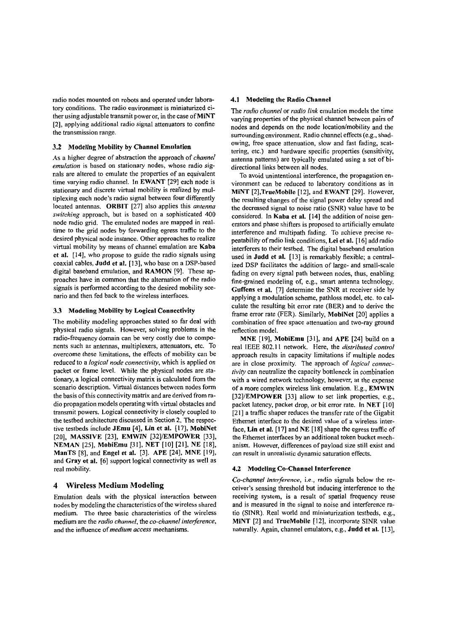radio nodes mounted on robots and operated under laboratory conditions. The radio environment is miniaturized either using adjustable transmit power or, in the case of MiNT [2], applying additional radio signal attenuators to confine the transmission range.

### **3.2** Modeling Mobility by Channel Emulation

As a higher degree of abstraction the approach of *channel emulation* is based on stationary nodes, whose radio signals are altered to emulate the properties of an equivalent time varying radio channel. In EWANT [29] each node is stationary and discrete virtual mobility is realized by multiplexing each node's radio signal between four differently located antennas. ORBIT [27] also applies this *antenna switching* approach, but is based on a sophisticated 400 node radio grid. The emulated nodes are mapped in realtime to the grid nodes by forwarding egress traffic to the desired physical node instance. Other approaches to realize virtual mobility by means of channel emulation are Kaba et al. [14], who propose to guide the radio signals using coaxial cables, Judd et al. [13], who base on a DSP-based digital baseband emulation, and RAMON [9]. These approaches have in common that the alternation of the radio signals is performed according to the desired mobility scenario and then fed back to the wireless interfaces.

#### **3.3** Modeling Mobility by Logical Connectivity

The mobility modeling approaches stated so far deal with physical radio signals. However, solving problems in the radio-frequency domain can be very costly due to components such as antennas, multiplexers, attenuators, etc. To overcome these limitations, the effects of mobility can be reduced to a *logical node connectiviw,* which is applied on packet or frame level. While the physical nodes are stationary, a logical connectivity matrix is calculated from the scenario description. Virtual distances between nodes form the basis of this connectivity matrix and are derived from radio propagation models operating with virtual obstacles and transmit powers. Logical connectivity is closely coupled to the testbed architecture discussed in Section 2. The respective testbeds include JEmu [4], Lin et al. [17], MobiNet [20], MASSIVE [23], EMWIN [32]/EMPOWER [33], NEMAN [25], MobiEmu [31], NET [I01 [21], NE [18], ManTS [8], and Engel et al. [3]. APE [24], MNE [19], and Gray et al. [6] support logical connectivity as well as real mobility.

## **4 Wireless Medium Modeling**

Emulation deals with the physical interaction between nodes by modeling the characteristics of the wireless shared medium. The three basic characteristics of the wireless medium are the *radio channel,* the *co-channel interference,*  and the influence of *medium access* mechanisms.

#### **4.1** Modeling the Radio Channel

The *radio channel* or *radio link* emulation models the time varying properties of the physical channel between pairs of nodes and depends on the node location/mobility and the surrounding cnvironment. Radio channel effects (e.g., shadowing, free space attenuation, slow and fast fading, scattering, etc.) and hardware specific properties (sensitivity, antenna patterns) are typically emulated using a set of bidirectional links between all nodes.

To avoid unintentional interference, the propagation environrnent can be reduced to laboratory conditions as in MINT [2], TrueMobile [12], and EWANT [29]. However, the resulting changes of the signal power delay spread and thc decreased signal to noise ratio (SNR) value have to be considered. In Kaba et al. [I41 the addition of noise generators and phase shifters is proposed to artificially emulate interference and multipath fading. To achieve precise repeatability of radio link conditions, Lei et al. [I61 add radio interferers to their testbed. The digital baseband emulation used in Judd et al. [13] is remarkably flexible; a centralized DSP facilitates the addition of large- and small-scale fading on every signal path between nodes, thus, enabling fine-grained modeling of, e.g., smart antenna technology. Guffens et al. [7] determine the SNR at receiver side by applying a modulation scheme, pathloss model, etc. to calculate the resulting bit error rate (BER) and to derivc the frame error rate (FER). Similarly, MobiNet [20] applies a combination of free space attenuation and two-ray ground reflection model.

MNE [19], MobiEmu [31], and APE [24] build on a real IEEE 802.1 1 network. Here, the *distributed control*  approach results *in* capacity limitations if multiple nodes are in close proximity. The approach of *logical connectivify* can neutralize the capacity bottleneck in combination with a wired network technology, however, at the expense of a more complex wireless link emulation. E.g., EMWlN [32]/EMPOWER [33] allow to set link properties, e.g., packet latency, packet drop, or bit error rate. In NET [10] [21] a traffic shaper reduces the transfer rate of the Gigabit Ethemet interface to the desired value of a wireless interface, Lin et al.  $[17]$  and NE  $[18]$  shape the egress traffic of the Ethernet interfaces by an additional token bucket mechanism. However, differences of payload size still exist and can result in unrealistic dynamic saturation effects.

#### **4.2** Modeling Co-Channel Interference

*Co-channel interference*, *i.e.*, radio signals below the receiver's sensing threshold but inducing interference to the receiving system, is a result of spatial frequency reuse and is measured in the signal to noise and interference ratio (SINR). Real world and miniaturization testbeds, e.g., MiNT [2] and TrueMobile [12], incorporate SINR value naturally. Again, channel emulators, e.g., Judd et al. [13],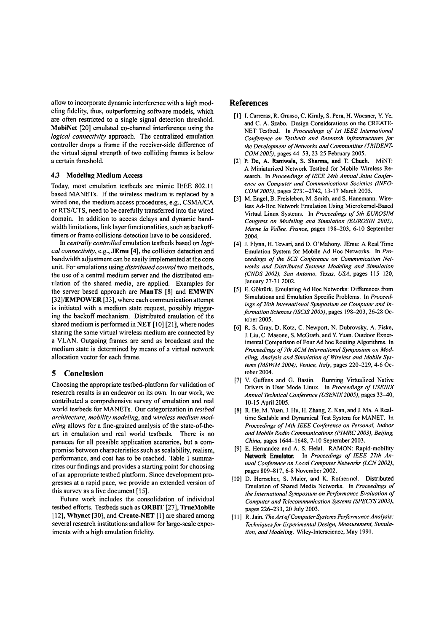allow to incorporate dynamic interference with a high modeling fidelity, thus, outperforming software models, which are often restricted to a single signal detection threshold. MobiNet [20] emulated co-channel interference using the *logical connectivity* approach. The centralized emulation controller drops a frame if the receiver-side difference of the virtual signal strength of two colliding frames is below a certain threshold.

### 4.3 Modeling Medium Access

Today, most emulation testbeds are mimic IEEE 802.11 based MANETs. If the wireless medium is replaced by a wired one, the medium access procedures, e.g., CSMA/CA or RTS/CTS, need to be carefully transferred into the wired domain. In addition to access delays and dynamic bandwidth limitations, link layer fünctionalities, such as backofftimers or frame collisions detection have to be considered.

In *centrally controlled* emulation testbeds based on *logicalconnectivity,* e.g., JEmu **[4],** the collision detection and bandwidth adjustment can be easily implemented at the core unit. For emulations using *dislributed control* two methods, the use of a central medium server and the distributed emulation of the shared media, are applied. Examples for the server based approach are ManTS [8] and EMWIN [32]/EMPOWER [33], where each communication attempt is initiated with a medium state request, possibly triggering the backoff mechanism. Distributed emulation of the shared medium is performed in NET  $[10]$   $[21]$ , where nodes sharing the same virtual wireless medium are connected by a VLAN. Outgoing frames are send as broadcast and the medium state is determined by means of a virtual network allocation vector for each frame.

#### **5 Conclusion**

Choosing the appropriate testbed-platform for validation of research results is an endeavor on its own. In our work, we contributed a comprehensive survey of emulation and real world testbeds for MANETs. Our categorization in *testbed architecture, mobility modeling,* and *wireless medium modeling* allows for a fine-grained analysis of the state-of-theart in emulation and real world testbeds. There is no panacea for all possible application scenarios, but a compromise between characteristics such as scalability, realism, performance, and cost has to be reached. Table 1 summarizes our findings and provides a starting point for choosing of an appropriate testbed platform. Since development progresses at a rapid pace, we provide an extended version of this survey as a live document [I **51.** 

Future work includes the consolidation of individual testbed efforts. Testbeds such as ORBIT [27], TrueMobile [12], Whynet [30], and Create-NET **[l]** are shared among several research institutions and allow for large-scale experiments with a high emulation fidelity.

# **References**

- [I] I. Carreras, R. Grasso, C. Kiraly, S. Pera, H. Woesner, Y. Ye, and C. A. Szabo. Design Considerations on the CREATE-NET Testbed. In *Proceedings of Ist IEEE International Conference on Testbeds and Research Infrastmctures for*  the Development of Networks and Communities (TRIDENT-*COMZOOS),* pages 44-53,23-25 Febmary 2005.
- [2] P. De, A. Raniwala, S. Sharma, and T. Chueh. MiNT: A Miniaturized Network Testbed for Mobile Wireless Research. In *Proceedings of IEEE 24th Annual Joint Conference on Computer and Communications Societies (INFO-COM2005),* pages 2731-2742, 13-17 March 2005.
- [3] M. Engel, B. Freisleben, M. Smith, and S. Hanemann. Wireless Ad-Hoc Network Emulation Using Microkernel-Based Virtual Linux Systems. In *Proceedings of 5th EUROSIM Congress on Modeling and Simulation (EUROSIN 2005), Marne la Vallee. France,* pages 198-203, 6-10 September 2004.
- [4] J. Flynn, H. Tewari, and D. O'Mahony. JEmu: A Real Time Emulation System for Mobile Ad Hoc Networks. In *Proceedings of the SCS Conference on Communication Networks and Disiributed Systems Modeling and Simulation (CNDS 2002), San Antonio. Taas. USA,* pages 1 15-120, January 27-3 1 2002.
- [5] E. Göktürk. Emulating Ad Hoc Networks: Differences from Simulations and Emulation Specific Problems. In *Proceedings of 20th International Symposium on Computer and Information Sciences (ISCIS2005),* pages 198-203,26-28 October 2005.
- [6] R. S. Gray, D. Kotz, C. Newport, N. Dubrovsky, A. Fiske, J. Liu, C. Masone, S. McGrath, and Y. Yuan. Outdoor Experimental Comparison of Four Ad hoc Routing Algorithms. In Proceedings of 7th ACM International Symposium on Mod*eling, Analysis and Simulation of Wireless and Mobile Systems (MSWiM 2004). Venice, Italy,* pages 220-229,4-6 October 2004.
- [7] V. Guffens and G. Bastin. Running Virtualized Native Drivers in User Mode Linux. In *Proceedings of USENIX Annual Technical Conference (USENIX2005),* pages 3340, 10-15 April 2005.
- [8] R. He, M. Yuan, J. Hu, H. Zhang, Z. Kan, and J. Ma. A Realtime Scalable and Dynamical Test System for MANET. In *Proceedings of 14th IEEE Conference on Personal, Indoor and Mobile Radio Communications (PIMRC 2003). Beijing, China*, pages 1644–1648, 7-10 September 2003.
- 191 E. Hernandez and A. S. Helal. RAMON: Rapid-mobility Network Emulator. In *Proceedings of IEEE 27th Annual Conference on Local Computer Nehvorks (LCN 2002).*  pages 809-817, 6-8 November 2002.
- [10] D. Herrscher, S. Maier, and K. Rothermel. Distributed Emulation of Shared Media Nehvorks. In *Proceedings of the International Symposium on Performance Evaluation of Computer and Telecommunication Systems (SPECTS 2003).*  pages 226-233,20 July 2003.
- [11] R. Jain. *The Art of Computer Systems Performance Analysis: Techniques for Experimental Design. Measurement, Simulation, and Modeling.* Wiley-lnterscience, May 1991.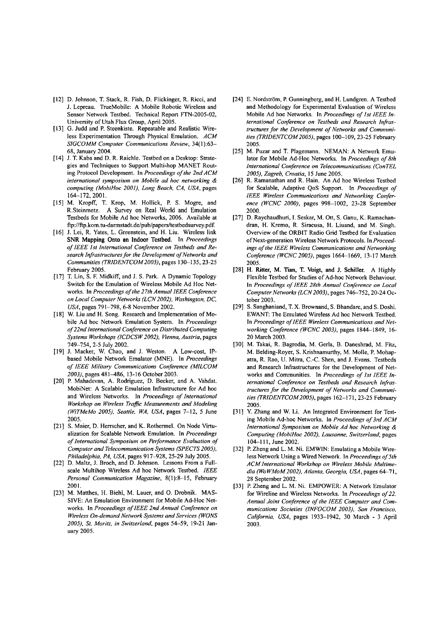- [I21 D. Johnson, T. Stack, R. Fish, D. Flickinger, R. Ricci, and J. Lepreau. TrueMobile: A Mobile Robotic Wireless and Sensor Network Testbed. Technical Report FTN-2005-02, University of Utah Flux Group, April 2005.
- [13] G. Judd and P. Steenkiste. Repeatable and Realistic Wireless Experimentation Through Physical Emulation. *ACM SIGCOMM Computer Communications Review,* 34(1):63- 68, January 2004.
- [14] J. T. Kaba and D. R. Raichle. Testbed on a Desktop: Strategies and Techniques to Support Multi-hop MANET Routing Protocol Development. In *Proceedings of the 2nd ACM international symposium on Mobile ad hoc networking* & *computing (MobiHoc 2001). Long Beach, CA. USA,* pages 164-172, 2001.
- [I51 M. Kropff, T. Krop, M. Hollick, P. S. Mogre, and R.Steinmetz. A Survey on Real World and Emulation Testbeds for Mobile Ad hoc Networks, 2006. Available at ftp://ftp.kom.tu-darmstadt.de/pub/papers/testbedsurvey.pdf.
- [16] J. Lei, R. Yates, L. Greenstein, and H. Liu. Wireless link SNR Mapping Onto an lndoor Testbed. In *Proceedings of IEEE Ist International Conference on Testbeds und Re*search Infrastructures for the Development of Networks and *Communities (TRIDENTCOM2005),* pages 130-135,23-25 February 2005.
- [17] T. Lin, S. F. Midkiff, and J. S. Park. A Dynamic Topology Switch for the Emulation of Wireless Mobile Ad Hoc Networks. In *Proceedings of the 27th Annual IEEE Conference on Local Computer Networks (LCN 2002). Washington, DC,*  USA, pages 791-798, 6-8 November 2002.
- [18] W. Liu and H. Song. Research and lmplementation of Mobile Ad hoc Network Emulation System. In *Proceedings of22nd International Conference on Distributed Computing Systems Workshops (ICDCSW2002). Vienna, Austria,* pages 749-754,2-5 July 2002.
- [I91 J. Macker, W. Chao, and J. Weston. A Low-cost, IPbased Mobile Network Emulator (MNE). In *Proceedings*   $of$  IEEE Military Communications Conference (MILCOM 2003), pages 481-486, 13-16 October 2003.
- [2O] P. Mahadevan, A. Rodriguez, D. Becker, and A. Vahdat. MobiNet: A Scalable Emulation Infrastructure for Ad hoc and Wireless Networks. In *Proceedings of International Workshop on Wireless Trajic Measurernents und Modeling (WiTMeMo 2005). Seattle. WA, USA,* pages 7-12, 5 June 2005.
- [21] S. Maier, D. Herrscher, and K. Rothermel. On Node Virtualization for Scalable Network Emulation. In *Proceedings*  of International Symposium on Performance Evaluation of *Computer and Telecommunication Systems (SPECTS 2005). Philadelphia, PA. USA,* pages 917-928,25-29 July 2005.
- [22] D. Maltz, J. Broch, and D. Johnson. Lessons From a Fullscale Multihop Wireless Ad hoc Network Testbed. *IEEE Personal Communication Magazine,* 8(1):8-15, February 200 1.
- [23] M. Matthes, H. Biehl, M. Lauer, and 0. Drobnik. MAS-SIVE: An Emulation Environment for Mobile Ad-Hoc Networks. In *Proceedings of IEEE 2nd Annual Confirence on Wireless On-demand Network Systems und Services (WONS 2005). St. Moritz. in Switzerland,* pages 54-59, 19-21 January 2005.
- [24] E. Nordström, P. Gunningberg, and H. Lundgren. A Testbed and Methodology for Experimental Evaluation of Wireless Mobile Ad hoc Networks. In *Proceedings of 1st IEEE In*ternational Conference on Testbeds and Research Infras*tructures for the Development of Networks und Communilies (TRIDENTCOM 2005).* pages 100-109,23-25 February 2005.
- [25] M. Puzar and T. Plagemann. NEMAN: A Network Emulator for Mobile Ad-Hoc Networks. In *Proceedings of 8th International Conference on Telecommunications (ConTEL 2005). Zagreb, Croatia,* 15 June 2005.
- [26] R. Ramanathan and R. Hain. An Ad hoc Wireless Testbed for Scalable, Adaptive QoS Support. In *Proceedings of*  IEEE Wireless Communications and Networking Confer*ence (WCNC 2000),* pages 998-1002, 23-28 September 2000.
- [27] D. Raychaudhuri, I. Seskar, M. Ott, S. Ganu, K. Ramachandran, H. Kremo, R. Siracusa, H. Liuand, and M. Singh. Overview of the ORBIT Radio Grid Testbed for Evaluation of Next-generation Wireless Network Protocols. In *Proceedings of fhe IEEE Wireless Communications und Networking*  Conference (WCNC 2005), pages 1664-1669, 13-17 March 2005.
- [28] H. Ritter, M. Tian, T. Voigt, and J. Schiller. A Highly Flexible Testbed for Studies of Ad-hoc Network Behaviour. In *Proceedings of IEEE 28th Annual Conference on Local*  Computer Networks (LCN 2003), pages 746-752, 20-24 October 2003.
- [29] S. Sanghaniand, T. X. Brownand, S. Bhandare, and S. Doshi. EWANT: The Emulated Wireless Ad hoc Network Testbed. In *Proceedings of IEEE Wireless Communications und Networking Conference (WCNC 2003)*, pages 1844-1849, 16-20 March 2003.
- [30] M. Takai, R. Bagrodia, M. Gerla, B. Daneshrad, M. Fitz, M. Belding-Royer, S. Krishnamurthy, M. Molle, P. Mohapatra, R. Rao, U. Mitra, C.-C. Shen, and J. Evans. Testbeds and Research Infrastructures for the Development of Networks and Communities. In *Proceedings of Ist IEEE International Conference on Testbeds und Research Infrastructures for the Development of Networks und Communilies (TRIDENTCOM 2005)*, pages 162-171, 23-25 February 2005.
- [31] Y. Zhang and W. Li. An lntegrated Environment for Testing Mobile Ad-hoc Networks. In *Proceedings of 3rd ACM International Symposium on Mobile Ad hoc Networking* & *Computing (MohiHoc 2002). Lausanne. Switzerland,* pages 104-111, June 2002.
- [32] P. Zheng and L. M. Ni. EMWIN: Emulating a Mobile Wireless Network Using a Wired Network. In *Proceedings of 5th ACMInternational Workshop on Wireless Mobile Multimedia (Wo WMoM 2002). Atlanta. Georgia. USA,* pages 64-7 1, 28 September 2002.
- [33] P. Zheng and L. M. Ni. EMPOWER: A Network Emulator for Wireline and Wireless Networks. In *Proceedings of 22.*  Annual Joint Conference of the IEEE Computer and Com*munications Societies (INFOCOM 2003), San Francisco, California, USA,* pages 1933-1942, 30 March - 3 April 2003.